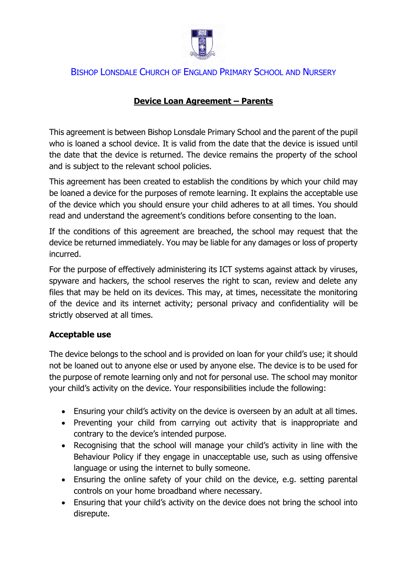

# BISHOP LONSDALE CHURCH OF ENGLAND PRIMARY SCHOOL AND NURSERY

## **Device Loan Agreement – Parents**

This agreement is between Bishop Lonsdale Primary School and the parent of the pupil who is loaned a school device. It is valid from the date that the device is issued until the date that the device is returned. The device remains the property of the school and is subject to the relevant school policies.

This agreement has been created to establish the conditions by which your child may be loaned a device for the purposes of remote learning. It explains the acceptable use of the device which you should ensure your child adheres to at all times. You should read and understand the agreement's conditions before consenting to the loan.

If the conditions of this agreement are breached, the school may request that the device be returned immediately. You may be liable for any damages or loss of property incurred.

For the purpose of effectively administering its ICT systems against attack by viruses, spyware and hackers, the school reserves the right to scan, review and delete any files that may be held on its devices. This may, at times, necessitate the monitoring of the device and its internet activity; personal privacy and confidentiality will be strictly observed at all times.

### **Acceptable use**

The device belongs to the school and is provided on loan for your child's use; it should not be loaned out to anyone else or used by anyone else. The device is to be used for the purpose of remote learning only and not for personal use. The school may monitor your child's activity on the device. Your responsibilities include the following:

- Ensuring your child's activity on the device is overseen by an adult at all times.
- Preventing your child from carrying out activity that is inappropriate and contrary to the device's intended purpose.
- Recognising that the school will manage your child's activity in line with the Behaviour Policy if they engage in unacceptable use, such as using offensive language or using the internet to bully someone.
- Ensuring the online safety of your child on the device, e.g. setting parental controls on your home broadband where necessary.
- Ensuring that your child's activity on the device does not bring the school into disrepute.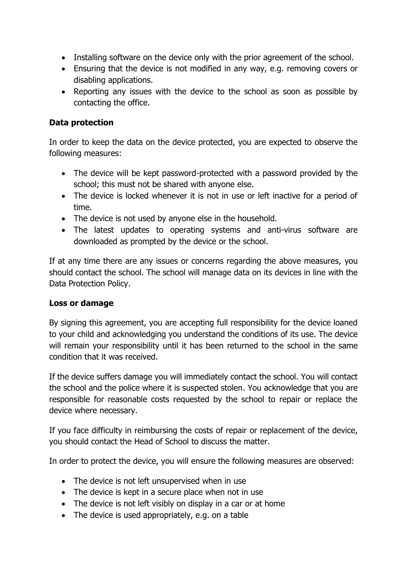- Installing software on the device only with the prior agreement of the school.
- Ensuring that the device is not modified in any way, e.g. removing covers or disabling applications.
- Reporting any issues with the device to the school as soon as possible by contacting the office.

### **Data protection**

In order to keep the data on the device protected, you are expected to observe the following measures:

- The device will be kept password-protected with a password provided by the school; this must not be shared with anyone else.
- The device is locked whenever it is not in use or left inactive for a period of time.
- The device is not used by anyone else in the household.
- The latest updates to operating systems and anti-virus software are downloaded as prompted by the device or the school.

If at any time there are any issues or concerns regarding the above measures, you should contact the school. The school will manage data on its devices in line with the Data Protection Policy.

### **Loss or damage**

By signing this agreement, you are accepting full responsibility for the device loaned to your child and acknowledging you understand the conditions of its use. The device will remain your responsibility until it has been returned to the school in the same condition that it was received.

If the device suffers damage you will immediately contact the school. You will contact the school and the police where it is suspected stolen. You acknowledge that you are responsible for reasonable costs requested by the school to repair or replace the device where necessary.

If you face difficulty in reimbursing the costs of repair or replacement of the device, you should contact the Head of School to discuss the matter.

In order to protect the device, you will ensure the following measures are observed:

- The device is not left unsupervised when in use
- The device is kept in a secure place when not in use
- The device is not left visibly on display in a car or at home
- The device is used appropriately, e.g. on a table